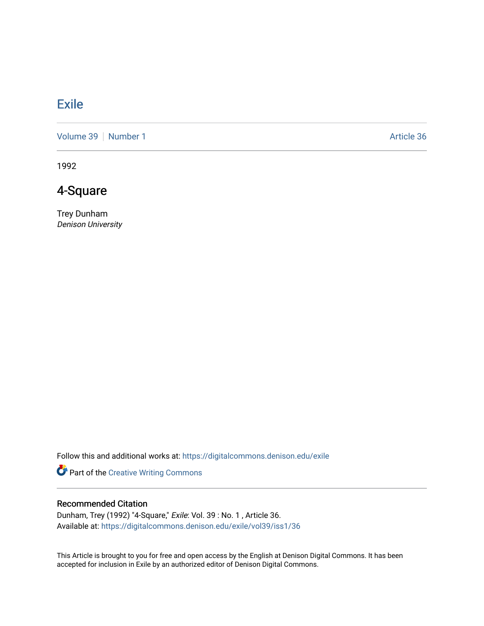## **[Exile](https://digitalcommons.denison.edu/exile)**

[Volume 39](https://digitalcommons.denison.edu/exile/vol39) [Number 1](https://digitalcommons.denison.edu/exile/vol39/iss1) Article 36

1992

## 4-Square

Trey Dunham Denison University

Follow this and additional works at: [https://digitalcommons.denison.edu/exile](https://digitalcommons.denison.edu/exile?utm_source=digitalcommons.denison.edu%2Fexile%2Fvol39%2Fiss1%2F36&utm_medium=PDF&utm_campaign=PDFCoverPages) 

Part of the [Creative Writing Commons](http://network.bepress.com/hgg/discipline/574?utm_source=digitalcommons.denison.edu%2Fexile%2Fvol39%2Fiss1%2F36&utm_medium=PDF&utm_campaign=PDFCoverPages) 

## Recommended Citation

Dunham, Trey (1992) "4-Square," Exile: Vol. 39 : No. 1 , Article 36. Available at: [https://digitalcommons.denison.edu/exile/vol39/iss1/36](https://digitalcommons.denison.edu/exile/vol39/iss1/36?utm_source=digitalcommons.denison.edu%2Fexile%2Fvol39%2Fiss1%2F36&utm_medium=PDF&utm_campaign=PDFCoverPages)

This Article is brought to you for free and open access by the English at Denison Digital Commons. It has been accepted for inclusion in Exile by an authorized editor of Denison Digital Commons.